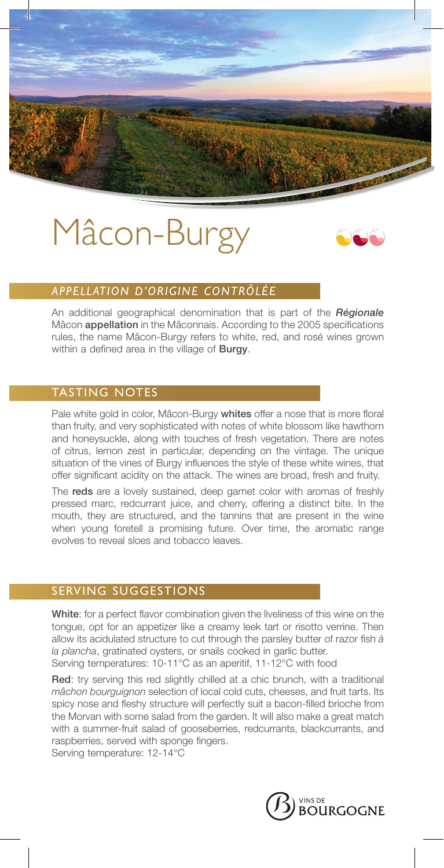# Mâcon-Burgy



## *APPELLATION D'ORIGINE CONTRÔLÉE*

An additional geographical denomination that is part of the *Régionale* Mâcon appellation in the Mâconnais. According to the 2005 specifications rules, the name Mâcon-Burgy refers to white, red, and rosé wines grown within a defined area in the village of **Burgy**.

### TASTING NOTES

Pale white gold in color, Mâcon-Burgy whites offer a nose that is more floral than fruity, and very sophisticated with notes of white blossom like hawthorn and honeysuckle, along with touches of fresh vegetation. There are notes of citrus, lemon zest in particular, depending on the vintage. The unique situation of the vines of Burgy influences the style of these white wines, that offer significant acidity on the attack. The wines are broad, fresh and fruity.

The reds are a lovely sustained, deep garnet color with aromas of freshly pressed marc, redcurrant juice, and cherry, offering a distinct bite. In the mouth, they are structured, and the tannins that are present in the wine when young foretell a promising future. Over time, the aromatic range evolves to reveal sloes and tobacco leaves.

### SERVING SUGGESTIONS

White: for a perfect flavor combination given the liveliness of this wine on the tongue, opt for an appetizer like a creamy leek tart or risotto verrine. Then allow its acidulated structure to cut through the parsley butter of razor fish *à la plancha*, gratinated oysters, or snails cooked in garlic butter.

Serving temperatures: 10-11°C as an aperitif, 11-12°C with food

Red: try serving this red slightly chilled at a chic brunch, with a traditional *mâchon bourguignon* selection of local cold cuts, cheeses, and fruit tarts. Its spicy nose and fleshy structure will perfectly suit a bacon-filled brioche from the Morvan with some salad from the garden. It will also make a great match with a summer-fruit salad of gooseberries, redcurrants, blackcurrants, and raspberries, served with sponge fingers.

Serving temperature: 12-14°C